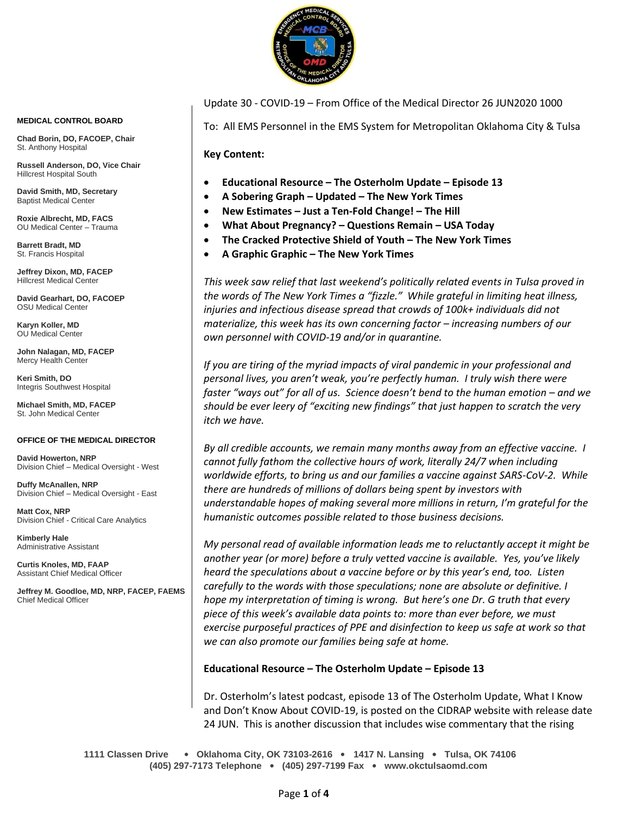

Update 30 - COVID-19 – From Office of the Medical Director 26 JUN2020 1000

To: All EMS Personnel in the EMS System for Metropolitan Oklahoma City & Tulsa

**Key Content:**

- **Educational Resource – The Osterholm Update – Episode 13**
- **A Sobering Graph – Updated – The New York Times**
- **New Estimates – Just a Ten-Fold Change! – The Hill**
- **What About Pregnancy? – Questions Remain – USA Today**
- **The Cracked Protective Shield of Youth – The New York Times**
- **A Graphic Graphic – The New York Times**

*This week saw relief that last weekend's politically related events in Tulsa proved in the words of The New York Times a "fizzle." While grateful in limiting heat illness, injuries and infectious disease spread that crowds of 100k+ individuals did not materialize, this week has its own concerning factor – increasing numbers of our own personnel with COVID-19 and/or in quarantine.* 

*If you are tiring of the myriad impacts of viral pandemic in your professional and personal lives, you aren't weak, you're perfectly human. I truly wish there were faster "ways out" for all of us. Science doesn't bend to the human emotion – and we should be ever leery of "exciting new findings" that just happen to scratch the very itch we have.*

*By all credible accounts, we remain many months away from an effective vaccine. I cannot fully fathom the collective hours of work, literally 24/7 when including worldwide efforts, to bring us and our families a vaccine against SARS-CoV-2. While there are hundreds of millions of dollars being spent by investors with understandable hopes of making several more millions in return, I'm grateful for the humanistic outcomes possible related to those business decisions.*

*My personal read of available information leads me to reluctantly accept it might be another year (or more) before a truly vetted vaccine is available. Yes, you've likely heard the speculations about a vaccine before or by this year's end, too. Listen carefully to the words with those speculations; none are absolute or definitive. I hope my interpretation of timing is wrong. But here's one Dr. G truth that every piece of this week's available data points to: more than ever before, we must exercise purposeful practices of PPE and disinfection to keep us safe at work so that we can also promote our families being safe at home.*

### **Educational Resource – The Osterholm Update – Episode 13**

Dr. Osterholm's latest podcast, episode 13 of The Osterholm Update, What I Know and Don't Know About COVID-19, is posted on the CIDRAP website with release date 24 JUN. This is another discussion that includes wise commentary that the rising

**1111 Classen Drive** • **Oklahoma City, OK 73103-2616** • **1417 N. Lansing** • **Tulsa, OK 74106 (405) 297-7173 Telephone** • **(405) 297-7199 Fax** • **www.okctulsaomd.com**

#### **MEDICAL CONTROL BOARD**

**Chad Borin, DO, FACOEP, Chair**  St. Anthony Hospital

**Russell Anderson, DO, Vice Chair** Hillcrest Hospital South

**David Smith, MD, Secretary** Baptist Medical Center

**Roxie Albrecht, MD, FACS** OU Medical Center – Trauma

**Barrett Bradt, MD** St. Francis Hospital

**Jeffrey Dixon, MD, FACEP** Hillcrest Medical Center

**David Gearhart, DO, FACOEP** OSU Medical Center

**Karyn Koller, MD** OU Medical Center

**John Nalagan, MD, FACEP** Mercy Health Center

**Keri Smith, DO** Integris Southwest Hospital

**Michael Smith, MD, FACEP** St. John Medical Center

### **OFFICE OF THE MEDICAL DIRECTOR**

**David Howerton, NRP** Division Chief – Medical Oversight - West

**Duffy McAnallen, NRP** Division Chief – Medical Oversight - East

**Matt Cox, NRP** Division Chief - Critical Care Analytics

**Kimberly Hale** Administrative Assistant

**Curtis Knoles, MD, FAAP** Assistant Chief Medical Officer

**Jeffrey M. Goodloe, MD, NRP, FACEP, FAEMS** Chief Medical Officer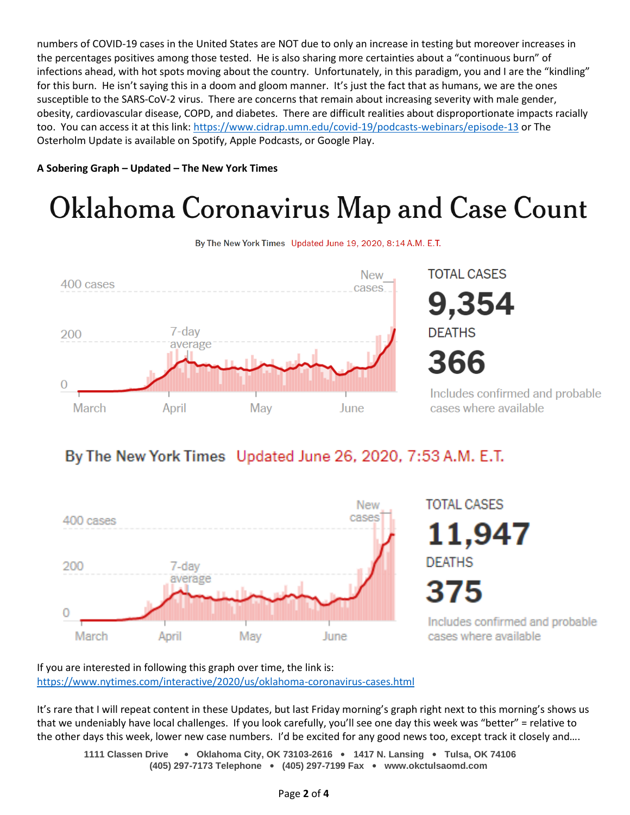numbers of COVID-19 cases in the United States are NOT due to only an increase in testing but moreover increases in the percentages positives among those tested. He is also sharing more certainties about a "continuous burn" of infections ahead, with hot spots moving about the country. Unfortunately, in this paradigm, you and I are the "kindling" for this burn. He isn't saying this in a doom and gloom manner. It's just the fact that as humans, we are the ones susceptible to the SARS-CoV-2 virus. There are concerns that remain about increasing severity with male gender, obesity, cardiovascular disease, COPD, and diabetes. There are difficult realities about disproportionate impacts racially too. You can access it at this link:<https://www.cidrap.umn.edu/covid-19/podcasts-webinars/episode-13> or The Osterholm Update is available on Spotify, Apple Podcasts, or Google Play.

**A Sobering Graph – Updated – The New York Times**

# Oklahoma Coronavirus Map and Case Count



By The New York Times Updated June 19, 2020, 8:14 A.M. E.T.

**TOTAL CASES** 9,354 **DEATHS** 366

Includes confirmed and probable cases where available

# By The New York Times Updated June 26, 2020, 7:53 A.M. E.T.



**TOTAL CASES** 11,947 **DEATHS** 375

Includes confirmed and probable cases where available

If you are interested in following this graph over time, the link is: <https://www.nytimes.com/interactive/2020/us/oklahoma-coronavirus-cases.html>

It's rare that I will repeat content in these Updates, but last Friday morning's graph right next to this morning's shows us that we undeniably have local challenges. If you look carefully, you'll see one day this week was "better" = relative to the other days this week, lower new case numbers. I'd be excited for any good news too, except track it closely and….

**1111 Classen Drive** • **Oklahoma City, OK 73103-2616** • **1417 N. Lansing** • **Tulsa, OK 74106 (405) 297-7173 Telephone** • **(405) 297-7199 Fax** • **www.okctulsaomd.com**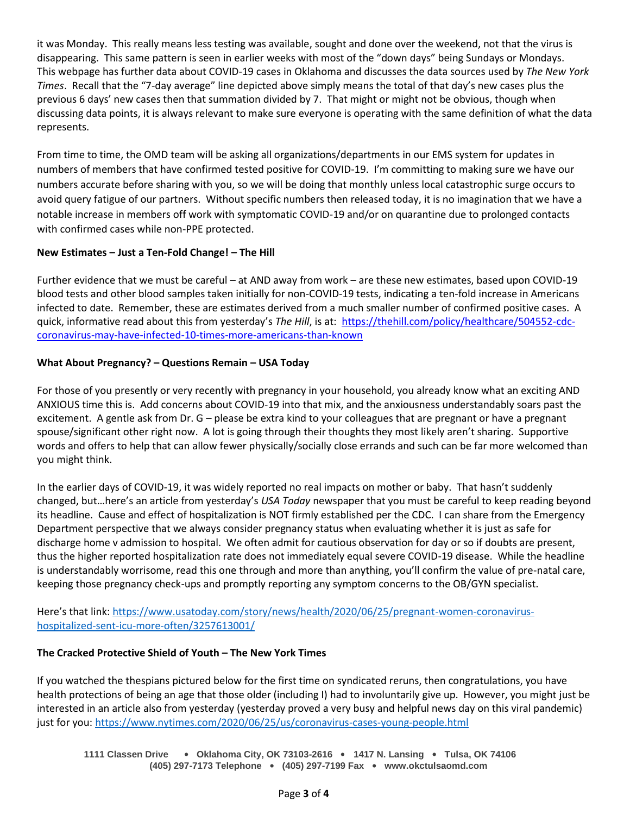it was Monday. This really means less testing was available, sought and done over the weekend, not that the virus is disappearing. This same pattern is seen in earlier weeks with most of the "down days" being Sundays or Mondays. This webpage has further data about COVID-19 cases in Oklahoma and discusses the data sources used by *The New York Times*. Recall that the "7-day average" line depicted above simply means the total of that day's new cases plus the previous 6 days' new cases then that summation divided by 7. That might or might not be obvious, though when discussing data points, it is always relevant to make sure everyone is operating with the same definition of what the data represents.

From time to time, the OMD team will be asking all organizations/departments in our EMS system for updates in numbers of members that have confirmed tested positive for COVID-19. I'm committing to making sure we have our numbers accurate before sharing with you, so we will be doing that monthly unless local catastrophic surge occurs to avoid query fatigue of our partners. Without specific numbers then released today, it is no imagination that we have a notable increase in members off work with symptomatic COVID-19 and/or on quarantine due to prolonged contacts with confirmed cases while non-PPE protected.

## **New Estimates – Just a Ten-Fold Change! – The Hill**

Further evidence that we must be careful – at AND away from work – are these new estimates, based upon COVID-19 blood tests and other blood samples taken initially for non-COVID-19 tests, indicating a ten-fold increase in Americans infected to date. Remember, these are estimates derived from a much smaller number of confirmed positive cases. A quick, informative read about this from yesterday's *The Hill*, is at: [https://thehill.com/policy/healthcare/504552-cdc](https://thehill.com/policy/healthcare/504552-cdc-coronavirus-may-have-infected-10-times-more-americans-than-known)[coronavirus-may-have-infected-10-times-more-americans-than-known](https://thehill.com/policy/healthcare/504552-cdc-coronavirus-may-have-infected-10-times-more-americans-than-known)

### **What About Pregnancy? – Questions Remain – USA Today**

For those of you presently or very recently with pregnancy in your household, you already know what an exciting AND ANXIOUS time this is. Add concerns about COVID-19 into that mix, and the anxiousness understandably soars past the excitement. A gentle ask from Dr. G – please be extra kind to your colleagues that are pregnant or have a pregnant spouse/significant other right now. A lot is going through their thoughts they most likely aren't sharing. Supportive words and offers to help that can allow fewer physically/socially close errands and such can be far more welcomed than you might think.

In the earlier days of COVID-19, it was widely reported no real impacts on mother or baby. That hasn't suddenly changed, but…here's an article from yesterday's *USA Today* newspaper that you must be careful to keep reading beyond its headline. Cause and effect of hospitalization is NOT firmly established per the CDC. I can share from the Emergency Department perspective that we always consider pregnancy status when evaluating whether it is just as safe for discharge home v admission to hospital. We often admit for cautious observation for day or so if doubts are present, thus the higher reported hospitalization rate does not immediately equal severe COVID-19 disease. While the headline is understandably worrisome, read this one through and more than anything, you'll confirm the value of pre-natal care, keeping those pregnancy check-ups and promptly reporting any symptom concerns to the OB/GYN specialist.

Here's that link: [https://www.usatoday.com/story/news/health/2020/06/25/pregnant-women-coronavirus](https://www.usatoday.com/story/news/health/2020/06/25/pregnant-women-coronavirus-hospitalized-sent-icu-more-often/3257613001/)[hospitalized-sent-icu-more-often/3257613001/](https://www.usatoday.com/story/news/health/2020/06/25/pregnant-women-coronavirus-hospitalized-sent-icu-more-often/3257613001/)

### **The Cracked Protective Shield of Youth – The New York Times**

If you watched the thespians pictured below for the first time on syndicated reruns, then congratulations, you have health protections of being an age that those older (including I) had to involuntarily give up. However, you might just be interested in an article also from yesterday (yesterday proved a very busy and helpful news day on this viral pandemic) just for you:<https://www.nytimes.com/2020/06/25/us/coronavirus-cases-young-people.html>